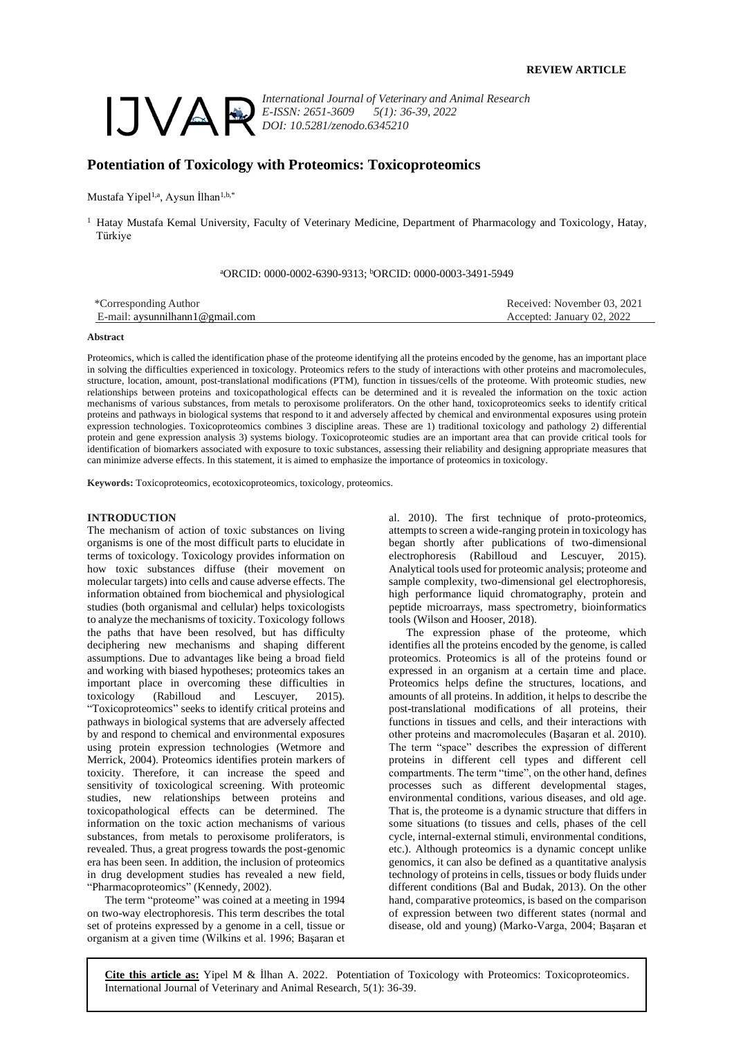

*International Journal of Veterinary and Animal Research E-ISSN: 2651-3609 5(1): 36-39, 2022 DOI: 10.5281/zenodo.6345210*

# **Potentiation of Toxicology with Proteomics: Toxicoproteomics**

Mustafa Yipel<sup>1,a</sup>, Aysun İlhan<sup>1,b,\*</sup>

<sup>1</sup> Hatay Mustafa Kemal University, Faculty of Veterinary Medicine, Department of Pharmacology and Toxicology, Hatay, Türkiye

<sup>a</sup>ORCID: 0000-0002-6390-9313; <sup>b</sup>ORCID: 0000-0003-3491-5949

| *Corresponding Author                  | Received: November 03, 2021 |
|----------------------------------------|-----------------------------|
| $E$ -mail: avsunnilhann $1@$ gmail.com | Accepted: January 02, 2022  |

#### **Abstract**

Proteomics, which is called the identification phase of the proteome identifying all the proteins encoded by the genome, has an important place in solving the difficulties experienced in toxicology. Proteomics refers to the study of interactions with other proteins and macromolecules, structure, location, amount, post-translational modifications (PTM), function in tissues/cells of the proteome. With proteomic studies, new relationships between proteins and toxicopathological effects can be determined and it is revealed the information on the toxic action mechanisms of various substances, from metals to peroxisome proliferators. On the other hand, toxicoproteomics seeks to identify critical proteins and pathways in biological systems that respond to it and adversely affected by chemical and environmental exposures using protein expression technologies. Toxicoproteomics combines 3 discipline areas. These are 1) traditional toxicology and pathology 2) differential protein and gene expression analysis 3) systems biology. Toxicoproteomic studies are an important area that can provide critical tools for identification of biomarkers associated with exposure to toxic substances, assessing their reliability and designing appropriate measures that can minimize adverse effects. In this statement, it is aimed to emphasize the importance of proteomics in toxicology.

**Keywords:** Toxicoproteomics, ecotoxicoproteomics, toxicology, proteomics.

## **INTRODUCTION**

The mechanism of action of toxic substances on living organisms is one of the most difficult parts to elucidate in terms of toxicology. Toxicology provides information on how toxic substances diffuse (their movement on molecular targets) into cells and cause adverse effects. The information obtained from biochemical and physiological studies (both organismal and cellular) helps toxicologists to analyze the mechanisms of toxicity. Toxicology follows the paths that have been resolved, but has difficulty deciphering new mechanisms and shaping different assumptions. Due to advantages like being a broad field and working with biased hypotheses; proteomics takes an important place in overcoming these difficulties in toxicology (Rabilloud and Lescuyer, 2015). "Toxicoproteomics" seeks to identify critical proteins and pathways in biological systems that are adversely affected by and respond to chemical and environmental exposures using protein expression technologies (Wetmore and Merrick, 2004). Proteomics identifies protein markers of toxicity. Therefore, it can increase the speed and sensitivity of toxicological screening. With proteomic studies, new relationships between proteins and toxicopathological effects can be determined. The information on the toxic action mechanisms of various substances, from metals to peroxisome proliferators, is revealed. Thus, a great progress towards the post-genomic era has been seen. In addition, the inclusion of proteomics in drug development studies has revealed a new field, "Pharmacoproteomics" (Kennedy, 2002).

The term "proteome" was coined at a meeting in 1994 on two-way electrophoresis. This term describes the total set of proteins expressed by a genome in a cell, tissue or organism at a given time (Wilkins et al. 1996; Başaran et al. 2010). The first technique of proto-proteomics, attempts to screen a wide-ranging protein in toxicology has began shortly after publications of two-dimensional electrophoresis (Rabilloud and Lescuyer, 2015). Analytical tools used for proteomic analysis; proteome and sample complexity, two-dimensional gel electrophoresis, high performance liquid chromatography, protein and peptide microarrays, mass spectrometry, bioinformatics tools (Wilson and Hooser, 2018).

The expression phase of the proteome, which identifies all the proteins encoded by the genome, is called proteomics. Proteomics is all of the proteins found or expressed in an organism at a certain time and place. Proteomics helps define the structures, locations, and amounts of all proteins. In addition, it helps to describe the post-translational modifications of all proteins, their functions in tissues and cells, and their interactions with other proteins and macromolecules (Başaran et al. 2010). The term "space" describes the expression of different proteins in different cell types and different cell compartments. The term "time", on the other hand, defines processes such as different developmental stages, environmental conditions, various diseases, and old age. That is, the proteome is a dynamic structure that differs in some situations (to tissues and cells, phases of the cell cycle, internal-external stimuli, environmental conditions, etc.). Although proteomics is a dynamic concept unlike genomics, it can also be defined as a quantitative analysis technology of proteins in cells, tissues or body fluids under different conditions (Bal and Budak, 2013). On the other hand, comparative proteomics, is based on the comparison of expression between two different states (normal and disease, old and young) (Marko-Varga, 2004; Başaran et

**Cite this article as:** Yipel M & İlhan A. 2022. Potentiation of Toxicology with Proteomics: Toxicoproteomics. International Journal of Veterinary and Animal Research, 5(1): 36-39.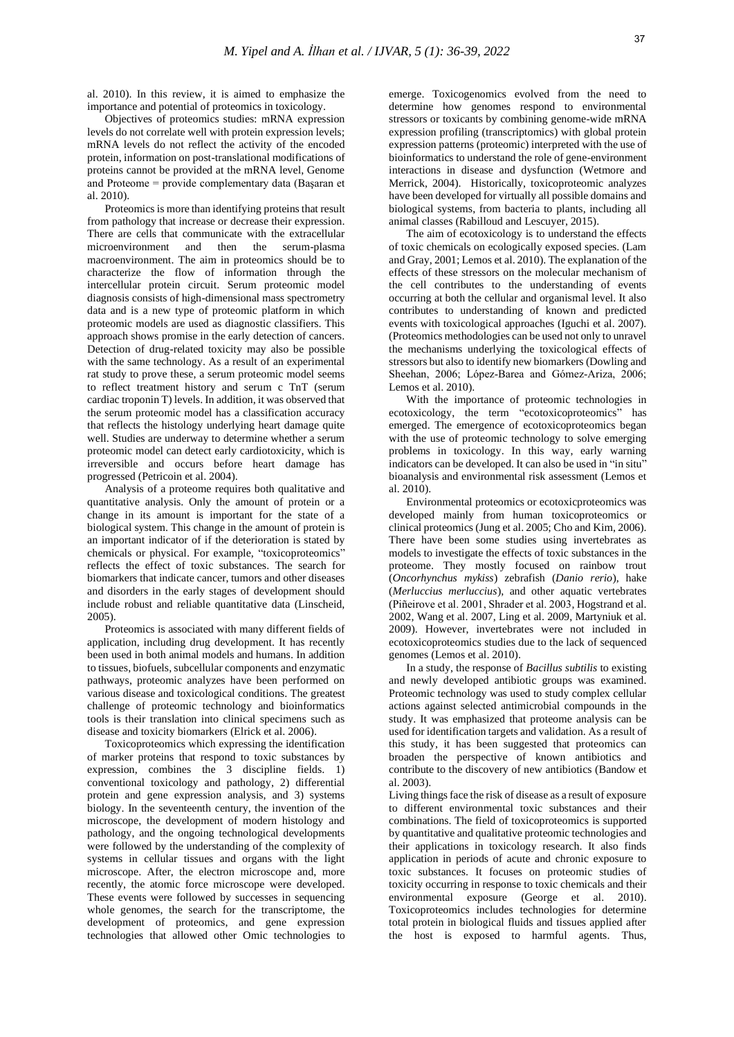al. 2010). In this review, it is aimed to emphasize the importance and potential of proteomics in toxicology.

Objectives of proteomics studies: mRNA expression levels do not correlate well with protein expression levels; mRNA levels do not reflect the activity of the encoded protein, information on post-translational modifications of proteins cannot be provided at the mRNA level, Genome and Proteome = provide complementary data (Başaran et al. 2010).

Proteomics is more than identifying proteins that result from pathology that increase or decrease their expression. There are cells that communicate with the extracellular microenvironment and then the serum-plasma macroenvironment. The aim in proteomics should be to characterize the flow of information through the intercellular protein circuit. Serum proteomic model diagnosis consists of high-dimensional mass spectrometry data and is a new type of proteomic platform in which proteomic models are used as diagnostic classifiers. This approach shows promise in the early detection of cancers. Detection of drug-related toxicity may also be possible with the same technology. As a result of an experimental rat study to prove these, a serum proteomic model seems to reflect treatment history and serum c TnT (serum cardiac troponin T) levels. In addition, it was observed that the serum proteomic model has a classification accuracy that reflects the histology underlying heart damage quite well. Studies are underway to determine whether a serum proteomic model can detect early cardiotoxicity, which is irreversible and occurs before heart damage has progressed (Petricoin et al. 2004).

Analysis of a proteome requires both qualitative and quantitative analysis. Only the amount of protein or a change in its amount is important for the state of a biological system. This change in the amount of protein is an important indicator of if the deterioration is stated by chemicals or physical. For example, "toxicoproteomics" reflects the effect of toxic substances. The search for biomarkers that indicate cancer, tumors and other diseases and disorders in the early stages of development should include robust and reliable quantitative data (Linscheid, 2005).

Proteomics is associated with many different fields of application, including drug development. It has recently been used in both animal models and humans. In addition to tissues, biofuels, subcellular components and enzymatic pathways, proteomic analyzes have been performed on various disease and toxicological conditions. The greatest challenge of proteomic technology and bioinformatics tools is their translation into clinical specimens such as disease and toxicity biomarkers (Elrick et al. 2006).

Toxicoproteomics which expressing the identification of marker proteins that respond to toxic substances by expression, combines the 3 discipline fields. 1) conventional toxicology and pathology, 2) differential protein and gene expression analysis, and 3) systems biology. In the seventeenth century, the invention of the microscope, the development of modern histology and pathology, and the ongoing technological developments were followed by the understanding of the complexity of systems in cellular tissues and organs with the light microscope. After, the electron microscope and, more recently, the atomic force microscope were developed. These events were followed by successes in sequencing whole genomes, the search for the transcriptome, the development of proteomics, and gene expression technologies that allowed other Omic technologies to

emerge. Toxicogenomics evolved from the need to determine how genomes respond to environmental stressors or toxicants by combining genome-wide mRNA expression profiling (transcriptomics) with global protein expression patterns (proteomic) interpreted with the use of bioinformatics to understand the role of gene-environment interactions in disease and dysfunction (Wetmore and Merrick, 2004). Historically, toxicoproteomic analyzes have been developed for virtually all possible domains and biological systems, from bacteria to plants, including all animal classes (Rabilloud and Lescuyer, 2015).

The aim of ecotoxicology is to understand the effects of toxic chemicals on ecologically exposed species. (Lam and Gray, 2001; Lemos et al. 2010). The explanation of the effects of these stressors on the molecular mechanism of the cell contributes to the understanding of events occurring at both the cellular and organismal level. It also contributes to understanding of known and predicted events with toxicological approaches (Iguchi et al. 2007). (Proteomics methodologies can be used not only to unravel the mechanisms underlying the toxicological effects of stressors but also to identify new biomarkers (Dowling and Sheehan, 2006; López‐Barea and Gómez‐Ariza, 2006; Lemos et al. 2010).

With the importance of proteomic technologies in ecotoxicology, the term "ecotoxicoproteomics" has emerged. The emergence of ecotoxicoproteomics began with the use of proteomic technology to solve emerging problems in toxicology. In this way, early warning indicators can be developed. It can also be used in "in situ" bioanalysis and environmental risk assessment (Lemos et al. 2010).

Environmental proteomics or ecotoxicproteomics was developed mainly from human toxicoproteomics or clinical proteomics (Jung et al. 2005; Cho and Kim, 2006). There have been some studies using invertebrates as models to investigate the effects of toxic substances in the proteome. They mostly focused on rainbow trout (*Oncorhynchus mykiss*) zebrafish (*Danio rerio*), hake (*Merluccius merluccius*), and other aquatic vertebrates (Piñeirove et al. 2001, Shrader et al. 2003, Hogstrand et al. 2002, Wang et al. 2007, Ling et al. 2009, Martyniuk et al. 2009). However, invertebrates were not included in ecotoxicoproteomics studies due to the lack of sequenced genomes (Lemos et al. 2010).

In a study, the response of *Bacillus subtilis* to existing and newly developed antibiotic groups was examined. Proteomic technology was used to study complex cellular actions against selected antimicrobial compounds in the study. It was emphasized that proteome analysis can be used for identification targets and validation. As a result of this study, it has been suggested that proteomics can broaden the perspective of known antibiotics and contribute to the discovery of new antibiotics (Bandow et al. 2003).

Living things face the risk of disease as a result of exposure to different environmental toxic substances and their combinations. The field of toxicoproteomics is supported by quantitative and qualitative proteomic technologies and their applications in toxicology research. It also finds application in periods of acute and chronic exposure to toxic substances. It focuses on proteomic studies of toxicity occurring in response to toxic chemicals and their environmental exposure (George et al. 2010). Toxicoproteomics includes technologies for determine total protein in biological fluids and tissues applied after the host is exposed to harmful agents. Thus,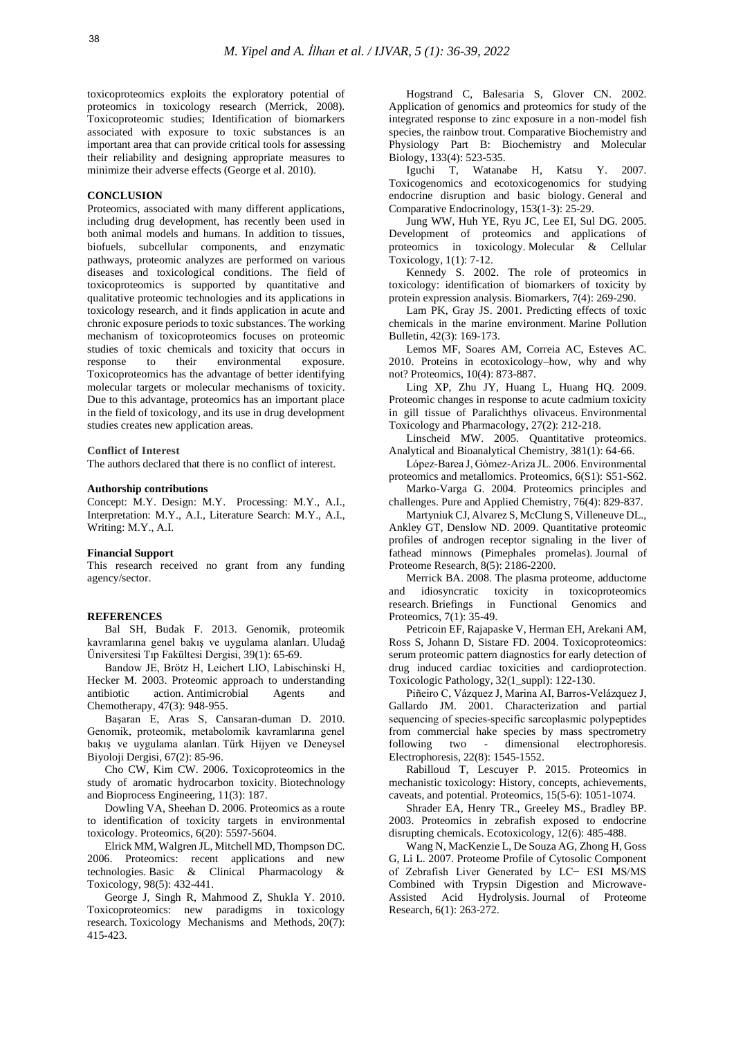toxicoproteomics exploits the exploratory potential of proteomics in toxicology research (Merrick, 2008). Toxicoproteomic studies; Identification of biomarkers associated with exposure to toxic substances is an important area that can provide critical tools for assessing their reliability and designing appropriate measures to minimize their adverse effects (George et al. 2010).

# **CONCLUSION**

Proteomics, associated with many different applications, including drug development, has recently been used in both animal models and humans. In addition to tissues, biofuels, subcellular components, and enzymatic pathways, proteomic analyzes are performed on various diseases and toxicological conditions. The field of toxicoproteomics is supported by quantitative and qualitative proteomic technologies and its applications in toxicology research, and it finds application in acute and chronic exposure periods to toxic substances. The working mechanism of toxicoproteomics focuses on proteomic studies of toxic chemicals and toxicity that occurs in response to their environmental exposure. Toxicoproteomics has the advantage of better identifying molecular targets or molecular mechanisms of toxicity. Due to this advantage, proteomics has an important place in the field of toxicology, and its use in drug development studies creates new application areas.

#### **Conflict of Interest**

The authors declared that there is no conflict of interest.

#### **Authorship contributions**

Concept: M.Y. Design: M.Y. Processing: M.Y., A.I., Interpretation: M.Y., A.I., Literature Search: M.Y., A.I., Writing: M.Y., A.I.

### **Financial Support**

This research received no grant from any funding agency/sector.

# **REFERENCES**

Bal SH, Budak F. 2013. Genomik, proteomik kavramlarına genel bakış ve uygulama alanları. Uludağ Üniversitesi Tıp Fakültesi Dergisi, 39(1): 65-69.

Bandow JE, Brötz H, Leichert LIO, Labischinski H, Hecker M. 2003. Proteomic approach to understanding antibiotic action. Antimicrobial Agents and Chemotherapy, 47(3): 948-955.

Başaran E, Aras S, Cansaran-duman D. 2010. Genomik, proteomik, metabolomik kavramlarına genel bakış ve uygulama alanları. Türk Hijyen ve Deneysel Biyoloji Dergisi, 67(2): 85-96.

Cho CW, Kim CW. 2006. Toxicoproteomics in the study of aromatic hydrocarbon toxicity. Biotechnology and Bioprocess Engineering, 11(3): 187.

Dowling VA, Sheehan D. 2006. Proteomics as a route to identification of toxicity targets in environmental toxicology. Proteomics, 6(20): 5597-5604.

Elrick MM, Walgren JL, Mitchell MD, Thompson DC. 2006. Proteomics: recent applications and new technologies. Basic & Clinical Pharmacology & Toxicology, 98(5): 432-441.

George J, Singh R, Mahmood Z, Shukla Y. 2010. Toxicoproteomics: new paradigms in toxicology research. Toxicology Mechanisms and Methods, 20(7): 415-423.

Hogstrand C, Balesaria S, Glover CN. 2002. Application of genomics and proteomics for study of the integrated response to zinc exposure in a non-model fish species, the rainbow trout. Comparative Biochemistry and Physiology Part B: Biochemistry and Molecular Biology, 133(4): 523-535.

Iguchi T, Watanabe H, Katsu Y. 2007. Toxicogenomics and ecotoxicogenomics for studying endocrine disruption and basic biology. General and Comparative Endocrinology, 153(1-3): 25-29.

Jung WW, Huh YE, Ryu JC, Lee EI, Sul DG. 2005. Development of proteomics and applications of proteomics in toxicology. Molecular & Cellular Toxicology, 1(1): 7-12.

Kennedy S. 2002. The role of proteomics in toxicology: identification of biomarkers of toxicity by protein expression analysis. Biomarkers, 7(4): 269-290.

Lam PK, Gray JS. 2001. Predicting effects of toxic chemicals in the marine environment. Marine Pollution Bulletin, 42(3): 169-173.

Lemos MF, Soares AM, Correia AC, Esteves AC. 2010. Proteins in ecotoxicology–how, why and why not? Proteomics, 10(4): 873-887.

Ling XP, Zhu JY, Huang L, Huang HQ. 2009. Proteomic changes in response to acute cadmium toxicity in gill tissue of Paralichthys olivaceus. Environmental Toxicology and Pharmacology, 27(2): 212-218.

Linscheid MW. 2005. Quantitative proteomics. Analytical and Bioanalytical Chemistry, 381(1): 64-66.

López‐Barea J, Gómez‐Ariza JL. 2006. Environmental proteomics and metallomics. Proteomics, 6(S1): S51-S62.

Marko-Varga G. 2004. Proteomics principles and challenges. Pure and Applied Chemistry, 76(4): 829-837.

Martyniuk CJ, Alvarez S, McClung S, Villeneuve DL., Ankley GT, Denslow ND. 2009. Quantitative proteomic profiles of androgen receptor signaling in the liver of fathead minnows (Pimephales promelas). Journal of Proteome Research, 8(5): 2186-2200.

Merrick BA. 2008. The plasma proteome, adductome and idiosyncratic toxicity in toxicoproteomics research. Briefings in Functional Genomics and Proteomics, 7(1): 35-49.

Petricoin EF, Rajapaske V, Herman EH, Arekani AM, Ross S, Johann D, Sistare FD. 2004. Toxicoproteomics: serum proteomic pattern diagnostics for early detection of drug induced cardiac toxicities and cardioprotection. Toxicologic Pathology, 32(1\_suppl): 122-130.

Piñeiro C, Vázquez J, Marina AI, Barros‐Velázquez J, Gallardo JM. 2001. Characterization and partial sequencing of species‐specific sarcoplasmic polypeptides from commercial hake species by mass spectrometry<br>following two - dimensional electrophoresis. following two - dimensional electrophoresis. Electrophoresis, 22(8): 1545-1552.

Rabilloud T, Lescuyer P. 2015. Proteomics in mechanistic toxicology: History, concepts, achievements, caveats, and potential. Proteomics, 15(5-6): 1051-1074.

Shrader EA, Henry TR., Greeley MS., Bradley BP. 2003. Proteomics in zebrafish exposed to endocrine disrupting chemicals. Ecotoxicology, 12(6): 485-488.

Wang N, MacKenzie L, De Souza AG, Zhong H, Goss G, Li L. 2007. Proteome Profile of Cytosolic Component of Zebrafish Liver Generated by LC− ESI MS/MS Combined with Trypsin Digestion and Microwave-Assisted Acid Hydrolysis. Journal of Proteome Research, 6(1): 263-272.